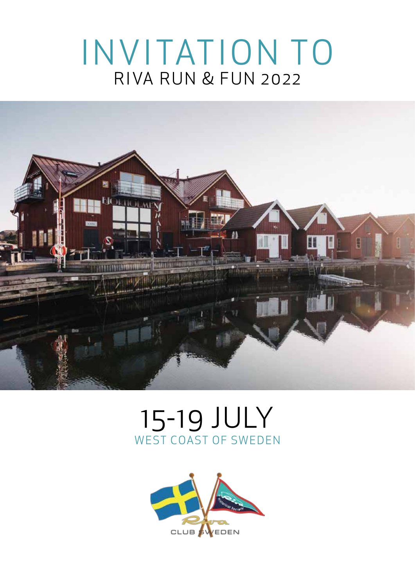# I N V I TAT I O N TO **RIVA RUN & FUN 2022**



## 15-19 JULY WEST COAST OF SWEDEN

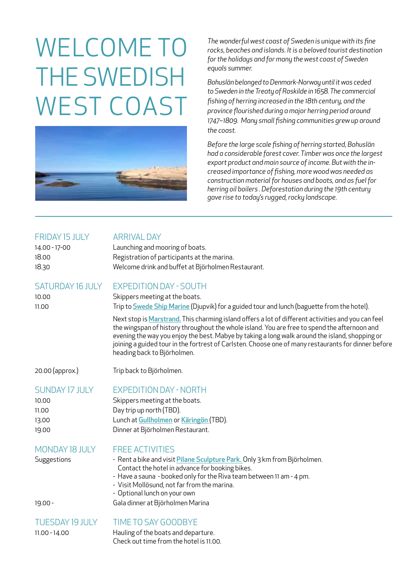# Welcome to the swedish WEST COAST



*The wonderful west coast of Sweden is unique with its fine rocks, beaches and islands. It is a beloved tourist destination for the holidays and for many the west coast of Sweden equals summer.*

*Bohuslän belonged to Denmark-Norway until it was ceded to Sweden in the Treaty of Roskilde in 1658. The commercial fishing of herring increased in the 18th century, and the province flourished during a major herring period around 1747–1809. Many small fishing communities grew up around the coast.* 

*Before the large scale fishing of herring started, Bohuslän had a considerable forest cover. Timber was once the largest export product and main source of income. But with the increased importance of fishing, more wood was needed as construction material for houses and boats, and as fuel for herring oil boilers . Deforestation during the 19th century gave rise to today's rugged, rocky landscape.*

#### FRIDAY 15 JULY ARRIVAL DAY

| 14.00 - 17-00 | Launching and mooring of boats.                    |
|---------------|----------------------------------------------------|
| 18.00         | Registration of participants at the marina.        |
| 18.30         | Welcome drink and buffet at Björholmen Restaurant. |

#### Saturday 16 July Expedition day - South

10.00 Skippers meeting at the boats. 11.00 Trip to Swede Ship Marine (Djupvik) for a guided tour and lunch (baguette from the hotel).

> Next stop is Marstrand. This charming island offers a lot of different activities and you can feel the wingspan of history throughout the whole island. You are free to spend the afternoon and evening the way you enjoy the best. Mabye by taking a long walk around the island, shopping or joining a guided tour in the fortrest of Carlsten. Choose one of many restaurants for dinner before heading back to Björholmen.

20.00 (approx.) Trip back to Björholmen.

## Sunday 17 July Expedition day - North

10.00 Skippers meeting at the boats. 11.00 Day trip up north (TBD). 13.00 Lunch at Gullholmen or Käringön (TBD). 19.00 Dinner at Björholmen Restaurant.

### Monday 18 July Free activities

- Suggestions Rent a bike and visit Pilane Sculpture Park. Only 3 km from Björholmen. Contact the hotel in advance for booking bikes.
	- Have a sauna booked only for the Riva team between 11 am 4 pm.
	- Visit Mollösund, not far from the marina.
	- Optional lunch on your own

19.00 - Gala dinner at Björholmen Marina

#### TUESDAY 19 JULY TIME TO SAY GOODBYE

11.00 - 14.00 Hauling of the boats and departure. Check out time from the hotel is 11.00.